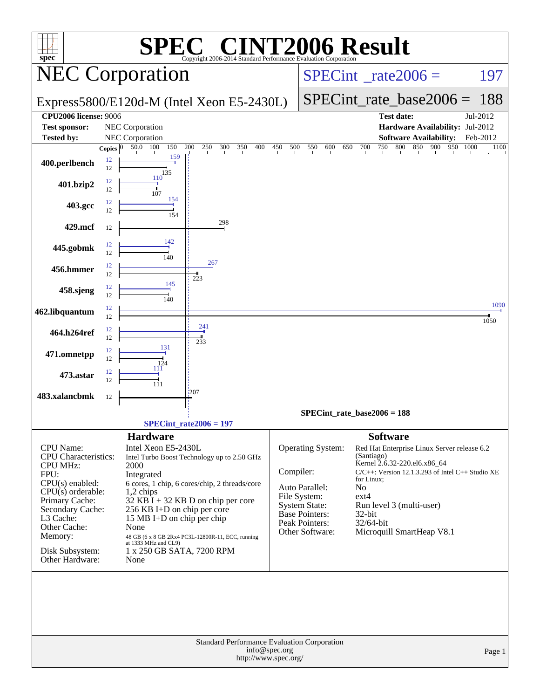| <b>INT2006 Result</b><br>$\blacksquare$<br>$spec^*$<br>Copyright 2006-2014 Standard Performance Evaluation Corporation |              |                                                            |            |                          |            |                                       |                                             |                 |                                                       |              |  |
|------------------------------------------------------------------------------------------------------------------------|--------------|------------------------------------------------------------|------------|--------------------------|------------|---------------------------------------|---------------------------------------------|-----------------|-------------------------------------------------------|--------------|--|
| <b>NEC Corporation</b>                                                                                                 |              |                                                            |            |                          |            |                                       |                                             |                 | $SPECint^{\circ}$ <sub>_rate2006</sub> =              | 197          |  |
| Express5800/E120d-M (Intel Xeon E5-2430L)                                                                              |              |                                                            |            |                          |            |                                       |                                             |                 | $SPECint_rate_base2006 =$                             | 188          |  |
| <b>CPU2006 license: 9006</b>                                                                                           |              |                                                            |            |                          |            |                                       |                                             |                 | <b>Test date:</b>                                     | Jul-2012     |  |
| <b>Test sponsor:</b>                                                                                                   |              | NEC Corporation                                            |            |                          |            |                                       |                                             |                 | Hardware Availability: Jul-2012                       |              |  |
| <b>Tested by:</b>                                                                                                      |              | NEC Corporation                                            |            |                          |            |                                       |                                             |                 | <b>Software Availability:</b>                         | Feb-2012     |  |
|                                                                                                                        | Copies $ 0 $ | 50.0 100                                                   | 150<br>200 | 250<br>300               | 350<br>400 | 500<br>450                            | 550<br>600<br>650                           | 700<br>750      | 800<br>850<br>900<br>950                              | 1000<br>1100 |  |
| 400.perlbench                                                                                                          | 12<br>12     | 135                                                        | 159        |                          |            |                                       |                                             |                 |                                                       |              |  |
| 401.bzip2                                                                                                              | 12<br>12     | 110<br>107                                                 |            |                          |            |                                       |                                             |                 |                                                       |              |  |
| 403.gcc                                                                                                                | 12<br>12     |                                                            | 154<br>154 |                          |            |                                       |                                             |                 |                                                       |              |  |
| 429.mcf                                                                                                                | 12           |                                                            |            | 298                      |            |                                       |                                             |                 |                                                       |              |  |
| 445.gobmk                                                                                                              | 12<br>12     |                                                            | 142<br>140 |                          |            |                                       |                                             |                 |                                                       |              |  |
| 456.hmmer                                                                                                              | 12<br>12     |                                                            |            | 267<br>223               |            |                                       |                                             |                 |                                                       |              |  |
| 458.sjeng                                                                                                              | 12<br>12     |                                                            | 145<br>140 |                          |            |                                       |                                             |                 |                                                       |              |  |
| 462.libquantum                                                                                                         | 12<br>12     |                                                            |            |                          |            |                                       |                                             |                 |                                                       | 1090<br>1050 |  |
| 464.h264ref                                                                                                            | 12<br>12     |                                                            |            | 241<br>233               |            |                                       |                                             |                 |                                                       |              |  |
| 471.omnetpp                                                                                                            | 12<br>12     | 131<br>124                                                 |            |                          |            |                                       |                                             |                 |                                                       |              |  |
| 473.astar                                                                                                              | 12<br>12     | 111<br>111                                                 |            |                          |            |                                       |                                             |                 |                                                       |              |  |
| 483.xalancbmk                                                                                                          | 12           |                                                            |            | 1207                     |            |                                       |                                             |                 |                                                       |              |  |
|                                                                                                                        |              |                                                            |            |                          |            |                                       | $SPECint_rate_base2006 = 188$               |                 |                                                       |              |  |
|                                                                                                                        |              |                                                            |            | $SPECint_rate2006 = 197$ |            |                                       |                                             |                 |                                                       |              |  |
| CPU Name:                                                                                                              |              | <b>Hardware</b><br>Intel Xeon E5-2430L                     |            |                          |            |                                       |                                             | <b>Software</b> |                                                       |              |  |
| <b>CPU</b> Characteristics:                                                                                            |              | Intel Turbo Boost Technology up to 2.50 GHz                |            |                          |            |                                       | Operating System:                           | (Santiago)      | Red Hat Enterprise Linux Server release 6.2           |              |  |
| <b>CPU MHz:</b>                                                                                                        |              | 2000                                                       |            |                          |            |                                       |                                             |                 | Kernel 2.6.32-220.el6.x86_64                          |              |  |
| FPU:                                                                                                                   |              | Integrated                                                 |            |                          |            | Compiler:                             |                                             | for Linux;      | $C/C++$ : Version 12.1.3.293 of Intel $C++$ Studio XE |              |  |
| $CPU(s)$ enabled:<br>$CPU(s)$ orderable:                                                                               |              | 6 cores, 1 chip, 6 cores/chip, 2 threads/core<br>1,2 chips |            |                          |            |                                       | Auto Parallel:                              | N <sub>0</sub>  |                                                       |              |  |
| Primary Cache:                                                                                                         |              | $32$ KB $\bar{1}$ + 32 KB D on chip per core               |            |                          |            |                                       | File System:<br><b>System State:</b>        | $ext{4}$        |                                                       |              |  |
| Secondary Cache:                                                                                                       |              | 256 KB I+D on chip per core                                |            |                          |            |                                       | <b>Base Pointers:</b>                       | $32$ -bit       | Run level 3 (multi-user)                              |              |  |
| L3 Cache:<br>Other Cache:                                                                                              |              | 15 MB I+D on chip per chip<br>None                         |            |                          |            |                                       | Peak Pointers:                              | 32/64-bit       |                                                       |              |  |
| Memory:                                                                                                                |              | 48 GB (6 x 8 GB 2Rx4 PC3L-12800R-11, ECC, running          |            |                          |            |                                       | Other Software:                             |                 | Microquill SmartHeap V8.1                             |              |  |
|                                                                                                                        |              | at 1333 MHz and CL9)                                       |            |                          |            |                                       |                                             |                 |                                                       |              |  |
| Disk Subsystem:<br>Other Hardware:                                                                                     |              | 1 x 250 GB SATA, 7200 RPM<br>None                          |            |                          |            |                                       |                                             |                 |                                                       |              |  |
|                                                                                                                        |              |                                                            |            |                          |            |                                       | Standard Performance Evaluation Corporation |                 |                                                       |              |  |
|                                                                                                                        |              |                                                            |            |                          |            | info@spec.org<br>http://www.spec.org/ |                                             |                 |                                                       | Page 1       |  |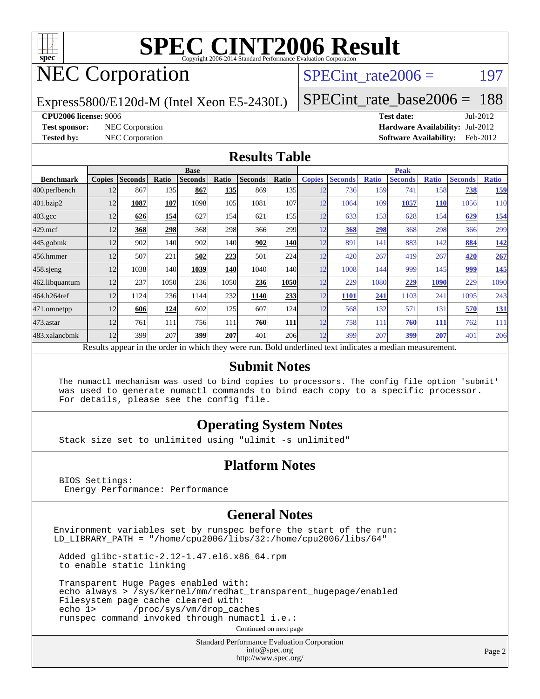

## NEC Corporation

SPECint rate $2006 = 197$ 

Express5800/E120d-M (Intel Xeon E5-2430L)

#### [SPECint\\_rate\\_base2006 =](http://www.spec.org/auto/cpu2006/Docs/result-fields.html#SPECintratebase2006) 188

#### **[CPU2006 license:](http://www.spec.org/auto/cpu2006/Docs/result-fields.html#CPU2006license)** 9006 **[Test date:](http://www.spec.org/auto/cpu2006/Docs/result-fields.html#Testdate)** Jul-2012

**[Test sponsor:](http://www.spec.org/auto/cpu2006/Docs/result-fields.html#Testsponsor)** NEC Corporation **[Hardware Availability:](http://www.spec.org/auto/cpu2006/Docs/result-fields.html#HardwareAvailability)** Jul-2012 **[Tested by:](http://www.spec.org/auto/cpu2006/Docs/result-fields.html#Testedby)** NEC Corporation **[Software Availability:](http://www.spec.org/auto/cpu2006/Docs/result-fields.html#SoftwareAvailability)** Feb-2012

#### **[Results Table](http://www.spec.org/auto/cpu2006/Docs/result-fields.html#ResultsTable)**

|                                                                                                          | <b>Base</b>   |                |       |                |            |                |                  |               | <b>Peak</b>    |              |                |              |                |              |  |
|----------------------------------------------------------------------------------------------------------|---------------|----------------|-------|----------------|------------|----------------|------------------|---------------|----------------|--------------|----------------|--------------|----------------|--------------|--|
| <b>Benchmark</b>                                                                                         | <b>Copies</b> | <b>Seconds</b> | Ratio | <b>Seconds</b> | Ratio      | <b>Seconds</b> | Ratio            | <b>Copies</b> | <b>Seconds</b> | <b>Ratio</b> | <b>Seconds</b> | <b>Ratio</b> | <b>Seconds</b> | <b>Ratio</b> |  |
| 400.perlbench                                                                                            | 12            | 867            | 135   | 867            | 135I       | 869            | 135 <sup>1</sup> | 12            | 736            | 159          | 741            | 158          | 738            | <u>159</u>   |  |
| 401.bzip2                                                                                                | 12            | 1087           | 107   | 1098           | 105        | 1081           | 107              | 12            | 1064           | 109          | 1057           | <u>110</u>   | 1056           | 110          |  |
| $403.\mathrm{gcc}$                                                                                       | 12            | 626            | 154   | 627            | 154        | 621            | 155              | 12            | 633            | 153          | 628            | 154          | 629            | 154          |  |
| $429$ .mcf                                                                                               | 12            | 368            | 298   | 368            | 298        | 366            | 299 <sub>1</sub> | 12            | 368            | 298          | 368            | 298          | 366            | 299          |  |
| $445$ .gobmk                                                                                             | 12            | 902            | 140   | 902            | 140I       | 902            | 140              | 12            | 891            | 141          | 883            | 142          | 884            | <u>142</u>   |  |
| 456.hmmer                                                                                                | 12            | 507            | 221   | 502            | 223        | 501            | 224              | 12            | 420            | 267          | 419            | 267          | 420            | 267          |  |
| $458$ .sjeng                                                                                             | 12            | 1038           | 140   | 1039           | <b>140</b> | 1040           | 140I             | 12            | 1008           | 144          | 999            | 145          | 999            | <b>145</b>   |  |
| 462.libquantum                                                                                           | 12            | 237            | 1050  | 236            | 1050       | 236            | 1050             | 12            | 229            | 1080         | 229            | 1090         | 229            | 1090         |  |
| 464.h264ref                                                                                              | 12            | 1124           | 236   | 1144           | 232        | 1140           | 233              | 12            | 1101           | 241          | 1103           | 241          | 1095           | 243          |  |
| 471.omnetpp                                                                                              | 12            | 606            | 124   | 602            | 125        | 607            | 124              | 12            | 568            | 132          | 571            | 131          | 570            | <u>131</u>   |  |
| $473.$ astar                                                                                             | 12            | 761            | 111   | 756            | 111        | 760            | 111              | 12            | 758            | 111          | 760            | <b>111</b>   | 762            | 111          |  |
| 483.xalancbmk                                                                                            | 12            | 399            | 207   | 399            | 207        | 401            | <b>206</b>       | 12            | 399            | 207          | 399            | 207          | 401            | 206          |  |
| Results appear in the order in which they were run. Bold underlined text indicates a median measurement. |               |                |       |                |            |                |                  |               |                |              |                |              |                |              |  |

#### **[Submit Notes](http://www.spec.org/auto/cpu2006/Docs/result-fields.html#SubmitNotes)**

 The numactl mechanism was used to bind copies to processors. The config file option 'submit' was used to generate numactl commands to bind each copy to a specific processor. For details, please see the config file.

#### **[Operating System Notes](http://www.spec.org/auto/cpu2006/Docs/result-fields.html#OperatingSystemNotes)**

Stack size set to unlimited using "ulimit -s unlimited"

#### **[Platform Notes](http://www.spec.org/auto/cpu2006/Docs/result-fields.html#PlatformNotes)**

 BIOS Settings: Energy Performance: Performance

#### **[General Notes](http://www.spec.org/auto/cpu2006/Docs/result-fields.html#GeneralNotes)**

Environment variables set by runspec before the start of the run: LD\_LIBRARY\_PATH = "/home/cpu2006/libs/32:/home/cpu2006/libs/64"

 Added glibc-static-2.12-1.47.el6.x86\_64.rpm to enable static linking

 Transparent Huge Pages enabled with: echo always > /sys/kernel/mm/redhat\_transparent\_hugepage/enabled Filesystem page cache cleared with: echo 1> /proc/sys/vm/drop\_caches runspec command invoked through numactl i.e.:

Continued on next page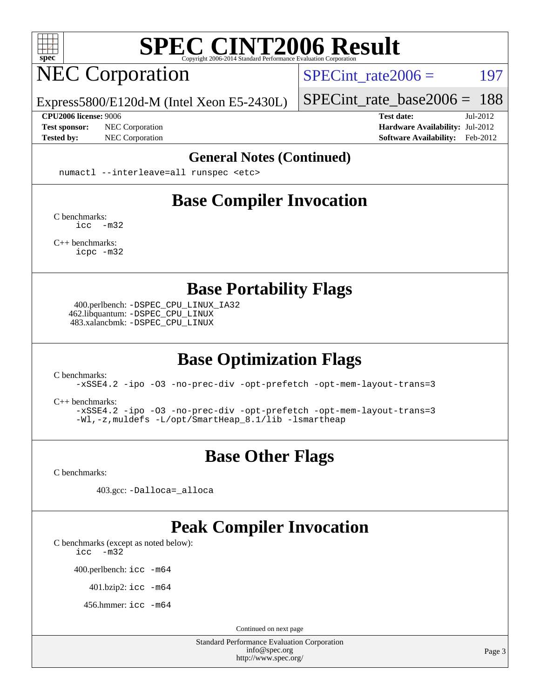

## NEC Corporation

SPECint rate $2006 = 197$ 

[SPECint\\_rate\\_base2006 =](http://www.spec.org/auto/cpu2006/Docs/result-fields.html#SPECintratebase2006) 188

Express5800/E120d-M (Intel Xeon E5-2430L)

**[Tested by:](http://www.spec.org/auto/cpu2006/Docs/result-fields.html#Testedby)** NEC Corporation **[Software Availability:](http://www.spec.org/auto/cpu2006/Docs/result-fields.html#SoftwareAvailability)** Feb-2012

**[CPU2006 license:](http://www.spec.org/auto/cpu2006/Docs/result-fields.html#CPU2006license)** 9006 **[Test date:](http://www.spec.org/auto/cpu2006/Docs/result-fields.html#Testdate)** Jul-2012 **[Test sponsor:](http://www.spec.org/auto/cpu2006/Docs/result-fields.html#Testsponsor)** NEC Corporation **[Hardware Availability:](http://www.spec.org/auto/cpu2006/Docs/result-fields.html#HardwareAvailability)** Jul-2012

#### **[General Notes \(Continued\)](http://www.spec.org/auto/cpu2006/Docs/result-fields.html#GeneralNotes)**

numactl --interleave=all runspec <etc>

#### **[Base Compiler Invocation](http://www.spec.org/auto/cpu2006/Docs/result-fields.html#BaseCompilerInvocation)**

[C benchmarks](http://www.spec.org/auto/cpu2006/Docs/result-fields.html#Cbenchmarks): [icc -m32](http://www.spec.org/cpu2006/results/res2012q3/cpu2006-20120802-24013.flags.html#user_CCbase_intel_icc_5ff4a39e364c98233615fdd38438c6f2)

[C++ benchmarks:](http://www.spec.org/auto/cpu2006/Docs/result-fields.html#CXXbenchmarks) [icpc -m32](http://www.spec.org/cpu2006/results/res2012q3/cpu2006-20120802-24013.flags.html#user_CXXbase_intel_icpc_4e5a5ef1a53fd332b3c49e69c3330699)

**[Base Portability Flags](http://www.spec.org/auto/cpu2006/Docs/result-fields.html#BasePortabilityFlags)**

 400.perlbench: [-DSPEC\\_CPU\\_LINUX\\_IA32](http://www.spec.org/cpu2006/results/res2012q3/cpu2006-20120802-24013.flags.html#b400.perlbench_baseCPORTABILITY_DSPEC_CPU_LINUX_IA32) 462.libquantum: [-DSPEC\\_CPU\\_LINUX](http://www.spec.org/cpu2006/results/res2012q3/cpu2006-20120802-24013.flags.html#b462.libquantum_baseCPORTABILITY_DSPEC_CPU_LINUX) 483.xalancbmk: [-DSPEC\\_CPU\\_LINUX](http://www.spec.org/cpu2006/results/res2012q3/cpu2006-20120802-24013.flags.html#b483.xalancbmk_baseCXXPORTABILITY_DSPEC_CPU_LINUX)

### **[Base Optimization Flags](http://www.spec.org/auto/cpu2006/Docs/result-fields.html#BaseOptimizationFlags)**

[C benchmarks](http://www.spec.org/auto/cpu2006/Docs/result-fields.html#Cbenchmarks):

[-xSSE4.2](http://www.spec.org/cpu2006/results/res2012q3/cpu2006-20120802-24013.flags.html#user_CCbase_f-xSSE42_f91528193cf0b216347adb8b939d4107) [-ipo](http://www.spec.org/cpu2006/results/res2012q3/cpu2006-20120802-24013.flags.html#user_CCbase_f-ipo) [-O3](http://www.spec.org/cpu2006/results/res2012q3/cpu2006-20120802-24013.flags.html#user_CCbase_f-O3) [-no-prec-div](http://www.spec.org/cpu2006/results/res2012q3/cpu2006-20120802-24013.flags.html#user_CCbase_f-no-prec-div) [-opt-prefetch](http://www.spec.org/cpu2006/results/res2012q3/cpu2006-20120802-24013.flags.html#user_CCbase_f-opt-prefetch) [-opt-mem-layout-trans=3](http://www.spec.org/cpu2006/results/res2012q3/cpu2006-20120802-24013.flags.html#user_CCbase_f-opt-mem-layout-trans_a7b82ad4bd7abf52556d4961a2ae94d5)

[C++ benchmarks:](http://www.spec.org/auto/cpu2006/Docs/result-fields.html#CXXbenchmarks)

[-xSSE4.2](http://www.spec.org/cpu2006/results/res2012q3/cpu2006-20120802-24013.flags.html#user_CXXbase_f-xSSE42_f91528193cf0b216347adb8b939d4107) [-ipo](http://www.spec.org/cpu2006/results/res2012q3/cpu2006-20120802-24013.flags.html#user_CXXbase_f-ipo) [-O3](http://www.spec.org/cpu2006/results/res2012q3/cpu2006-20120802-24013.flags.html#user_CXXbase_f-O3) [-no-prec-div](http://www.spec.org/cpu2006/results/res2012q3/cpu2006-20120802-24013.flags.html#user_CXXbase_f-no-prec-div) [-opt-prefetch](http://www.spec.org/cpu2006/results/res2012q3/cpu2006-20120802-24013.flags.html#user_CXXbase_f-opt-prefetch) [-opt-mem-layout-trans=3](http://www.spec.org/cpu2006/results/res2012q3/cpu2006-20120802-24013.flags.html#user_CXXbase_f-opt-mem-layout-trans_a7b82ad4bd7abf52556d4961a2ae94d5) [-Wl,-z,muldefs](http://www.spec.org/cpu2006/results/res2012q3/cpu2006-20120802-24013.flags.html#user_CXXbase_link_force_multiple1_74079c344b956b9658436fd1b6dd3a8a) [-L/opt/SmartHeap\\_8.1/lib -lsmartheap](http://www.spec.org/cpu2006/results/res2012q3/cpu2006-20120802-24013.flags.html#user_CXXbase_SmartHeap_d5ba4dfc9de25d3c657c7de7476e66c5)

### **[Base Other Flags](http://www.spec.org/auto/cpu2006/Docs/result-fields.html#BaseOtherFlags)**

[C benchmarks](http://www.spec.org/auto/cpu2006/Docs/result-fields.html#Cbenchmarks):

403.gcc: [-Dalloca=\\_alloca](http://www.spec.org/cpu2006/results/res2012q3/cpu2006-20120802-24013.flags.html#b403.gcc_baseEXTRA_CFLAGS_Dalloca_be3056838c12de2578596ca5467af7f3)

#### **[Peak Compiler Invocation](http://www.spec.org/auto/cpu2006/Docs/result-fields.html#PeakCompilerInvocation)**

[C benchmarks \(except as noted below\)](http://www.spec.org/auto/cpu2006/Docs/result-fields.html#Cbenchmarksexceptasnotedbelow):

[icc -m32](http://www.spec.org/cpu2006/results/res2012q3/cpu2006-20120802-24013.flags.html#user_CCpeak_intel_icc_5ff4a39e364c98233615fdd38438c6f2)

400.perlbench: [icc -m64](http://www.spec.org/cpu2006/results/res2012q3/cpu2006-20120802-24013.flags.html#user_peakCCLD400_perlbench_intel_icc_64bit_bda6cc9af1fdbb0edc3795bac97ada53)

401.bzip2: [icc -m64](http://www.spec.org/cpu2006/results/res2012q3/cpu2006-20120802-24013.flags.html#user_peakCCLD401_bzip2_intel_icc_64bit_bda6cc9af1fdbb0edc3795bac97ada53)

456.hmmer: [icc -m64](http://www.spec.org/cpu2006/results/res2012q3/cpu2006-20120802-24013.flags.html#user_peakCCLD456_hmmer_intel_icc_64bit_bda6cc9af1fdbb0edc3795bac97ada53)

Continued on next page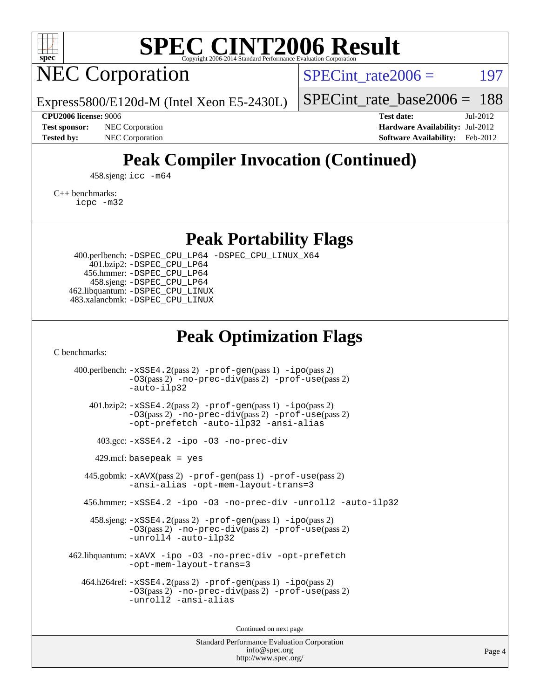

## NEC Corporation

SPECint rate $2006 = 197$ 

Express5800/E120d-M (Intel Xeon E5-2430L)

[SPECint\\_rate\\_base2006 =](http://www.spec.org/auto/cpu2006/Docs/result-fields.html#SPECintratebase2006) 188

**[CPU2006 license:](http://www.spec.org/auto/cpu2006/Docs/result-fields.html#CPU2006license)** 9006 **[Test date:](http://www.spec.org/auto/cpu2006/Docs/result-fields.html#Testdate)** Jul-2012 **[Test sponsor:](http://www.spec.org/auto/cpu2006/Docs/result-fields.html#Testsponsor)** NEC Corporation **[Hardware Availability:](http://www.spec.org/auto/cpu2006/Docs/result-fields.html#HardwareAvailability)** Jul-2012 **[Tested by:](http://www.spec.org/auto/cpu2006/Docs/result-fields.html#Testedby)** NEC Corporation **[Software Availability:](http://www.spec.org/auto/cpu2006/Docs/result-fields.html#SoftwareAvailability)** Feb-2012

## **[Peak Compiler Invocation \(Continued\)](http://www.spec.org/auto/cpu2006/Docs/result-fields.html#PeakCompilerInvocation)**

458.sjeng: [icc -m64](http://www.spec.org/cpu2006/results/res2012q3/cpu2006-20120802-24013.flags.html#user_peakCCLD458_sjeng_intel_icc_64bit_bda6cc9af1fdbb0edc3795bac97ada53)

[C++ benchmarks:](http://www.spec.org/auto/cpu2006/Docs/result-fields.html#CXXbenchmarks) [icpc -m32](http://www.spec.org/cpu2006/results/res2012q3/cpu2006-20120802-24013.flags.html#user_CXXpeak_intel_icpc_4e5a5ef1a53fd332b3c49e69c3330699)

**[Peak Portability Flags](http://www.spec.org/auto/cpu2006/Docs/result-fields.html#PeakPortabilityFlags)**

 400.perlbench: [-DSPEC\\_CPU\\_LP64](http://www.spec.org/cpu2006/results/res2012q3/cpu2006-20120802-24013.flags.html#b400.perlbench_peakCPORTABILITY_DSPEC_CPU_LP64) [-DSPEC\\_CPU\\_LINUX\\_X64](http://www.spec.org/cpu2006/results/res2012q3/cpu2006-20120802-24013.flags.html#b400.perlbench_peakCPORTABILITY_DSPEC_CPU_LINUX_X64) 401.bzip2: [-DSPEC\\_CPU\\_LP64](http://www.spec.org/cpu2006/results/res2012q3/cpu2006-20120802-24013.flags.html#suite_peakCPORTABILITY401_bzip2_DSPEC_CPU_LP64) 456.hmmer: [-DSPEC\\_CPU\\_LP64](http://www.spec.org/cpu2006/results/res2012q3/cpu2006-20120802-24013.flags.html#suite_peakCPORTABILITY456_hmmer_DSPEC_CPU_LP64) 458.sjeng: [-DSPEC\\_CPU\\_LP64](http://www.spec.org/cpu2006/results/res2012q3/cpu2006-20120802-24013.flags.html#suite_peakCPORTABILITY458_sjeng_DSPEC_CPU_LP64) 462.libquantum: [-DSPEC\\_CPU\\_LINUX](http://www.spec.org/cpu2006/results/res2012q3/cpu2006-20120802-24013.flags.html#b462.libquantum_peakCPORTABILITY_DSPEC_CPU_LINUX) 483.xalancbmk: [-DSPEC\\_CPU\\_LINUX](http://www.spec.org/cpu2006/results/res2012q3/cpu2006-20120802-24013.flags.html#b483.xalancbmk_peakCXXPORTABILITY_DSPEC_CPU_LINUX)

#### **[Peak Optimization Flags](http://www.spec.org/auto/cpu2006/Docs/result-fields.html#PeakOptimizationFlags)**

[C benchmarks](http://www.spec.org/auto/cpu2006/Docs/result-fields.html#Cbenchmarks):

 400.perlbench: [-xSSE4.2](http://www.spec.org/cpu2006/results/res2012q3/cpu2006-20120802-24013.flags.html#user_peakPASS2_CFLAGSPASS2_LDCFLAGS400_perlbench_f-xSSE42_f91528193cf0b216347adb8b939d4107)(pass 2) [-prof-gen](http://www.spec.org/cpu2006/results/res2012q3/cpu2006-20120802-24013.flags.html#user_peakPASS1_CFLAGSPASS1_LDCFLAGS400_perlbench_prof_gen_e43856698f6ca7b7e442dfd80e94a8fc)(pass 1) [-ipo](http://www.spec.org/cpu2006/results/res2012q3/cpu2006-20120802-24013.flags.html#user_peakPASS2_CFLAGSPASS2_LDCFLAGS400_perlbench_f-ipo)(pass 2) [-O3](http://www.spec.org/cpu2006/results/res2012q3/cpu2006-20120802-24013.flags.html#user_peakPASS2_CFLAGSPASS2_LDCFLAGS400_perlbench_f-O3)(pass 2) [-no-prec-div](http://www.spec.org/cpu2006/results/res2012q3/cpu2006-20120802-24013.flags.html#user_peakPASS2_CFLAGSPASS2_LDCFLAGS400_perlbench_f-no-prec-div)(pass 2) [-prof-use](http://www.spec.org/cpu2006/results/res2012q3/cpu2006-20120802-24013.flags.html#user_peakPASS2_CFLAGSPASS2_LDCFLAGS400_perlbench_prof_use_bccf7792157ff70d64e32fe3e1250b55)(pass 2) [-auto-ilp32](http://www.spec.org/cpu2006/results/res2012q3/cpu2006-20120802-24013.flags.html#user_peakCOPTIMIZE400_perlbench_f-auto-ilp32) 401.bzip2: [-xSSE4.2](http://www.spec.org/cpu2006/results/res2012q3/cpu2006-20120802-24013.flags.html#user_peakPASS2_CFLAGSPASS2_LDCFLAGS401_bzip2_f-xSSE42_f91528193cf0b216347adb8b939d4107)(pass 2) [-prof-gen](http://www.spec.org/cpu2006/results/res2012q3/cpu2006-20120802-24013.flags.html#user_peakPASS1_CFLAGSPASS1_LDCFLAGS401_bzip2_prof_gen_e43856698f6ca7b7e442dfd80e94a8fc)(pass 1) [-ipo](http://www.spec.org/cpu2006/results/res2012q3/cpu2006-20120802-24013.flags.html#user_peakPASS2_CFLAGSPASS2_LDCFLAGS401_bzip2_f-ipo)(pass 2) [-O3](http://www.spec.org/cpu2006/results/res2012q3/cpu2006-20120802-24013.flags.html#user_peakPASS2_CFLAGSPASS2_LDCFLAGS401_bzip2_f-O3)(pass 2) [-no-prec-div](http://www.spec.org/cpu2006/results/res2012q3/cpu2006-20120802-24013.flags.html#user_peakPASS2_CFLAGSPASS2_LDCFLAGS401_bzip2_f-no-prec-div)(pass 2) [-prof-use](http://www.spec.org/cpu2006/results/res2012q3/cpu2006-20120802-24013.flags.html#user_peakPASS2_CFLAGSPASS2_LDCFLAGS401_bzip2_prof_use_bccf7792157ff70d64e32fe3e1250b55)(pass 2) [-opt-prefetch](http://www.spec.org/cpu2006/results/res2012q3/cpu2006-20120802-24013.flags.html#user_peakCOPTIMIZE401_bzip2_f-opt-prefetch) [-auto-ilp32](http://www.spec.org/cpu2006/results/res2012q3/cpu2006-20120802-24013.flags.html#user_peakCOPTIMIZE401_bzip2_f-auto-ilp32) [-ansi-alias](http://www.spec.org/cpu2006/results/res2012q3/cpu2006-20120802-24013.flags.html#user_peakCOPTIMIZE401_bzip2_f-ansi-alias) 403.gcc: [-xSSE4.2](http://www.spec.org/cpu2006/results/res2012q3/cpu2006-20120802-24013.flags.html#user_peakCOPTIMIZE403_gcc_f-xSSE42_f91528193cf0b216347adb8b939d4107) [-ipo](http://www.spec.org/cpu2006/results/res2012q3/cpu2006-20120802-24013.flags.html#user_peakCOPTIMIZE403_gcc_f-ipo) [-O3](http://www.spec.org/cpu2006/results/res2012q3/cpu2006-20120802-24013.flags.html#user_peakCOPTIMIZE403_gcc_f-O3) [-no-prec-div](http://www.spec.org/cpu2006/results/res2012q3/cpu2006-20120802-24013.flags.html#user_peakCOPTIMIZE403_gcc_f-no-prec-div)  $429$ .mcf: basepeak = yes 445.gobmk: [-xAVX](http://www.spec.org/cpu2006/results/res2012q3/cpu2006-20120802-24013.flags.html#user_peakPASS2_CFLAGSPASS2_LDCFLAGS445_gobmk_f-xAVX)(pass 2) [-prof-gen](http://www.spec.org/cpu2006/results/res2012q3/cpu2006-20120802-24013.flags.html#user_peakPASS1_CFLAGSPASS1_LDCFLAGS445_gobmk_prof_gen_e43856698f6ca7b7e442dfd80e94a8fc)(pass 1) [-prof-use](http://www.spec.org/cpu2006/results/res2012q3/cpu2006-20120802-24013.flags.html#user_peakPASS2_CFLAGSPASS2_LDCFLAGS445_gobmk_prof_use_bccf7792157ff70d64e32fe3e1250b55)(pass 2) [-ansi-alias](http://www.spec.org/cpu2006/results/res2012q3/cpu2006-20120802-24013.flags.html#user_peakCOPTIMIZE445_gobmk_f-ansi-alias) [-opt-mem-layout-trans=3](http://www.spec.org/cpu2006/results/res2012q3/cpu2006-20120802-24013.flags.html#user_peakCOPTIMIZE445_gobmk_f-opt-mem-layout-trans_a7b82ad4bd7abf52556d4961a2ae94d5) 456.hmmer: [-xSSE4.2](http://www.spec.org/cpu2006/results/res2012q3/cpu2006-20120802-24013.flags.html#user_peakCOPTIMIZE456_hmmer_f-xSSE42_f91528193cf0b216347adb8b939d4107) [-ipo](http://www.spec.org/cpu2006/results/res2012q3/cpu2006-20120802-24013.flags.html#user_peakCOPTIMIZE456_hmmer_f-ipo) [-O3](http://www.spec.org/cpu2006/results/res2012q3/cpu2006-20120802-24013.flags.html#user_peakCOPTIMIZE456_hmmer_f-O3) [-no-prec-div](http://www.spec.org/cpu2006/results/res2012q3/cpu2006-20120802-24013.flags.html#user_peakCOPTIMIZE456_hmmer_f-no-prec-div) [-unroll2](http://www.spec.org/cpu2006/results/res2012q3/cpu2006-20120802-24013.flags.html#user_peakCOPTIMIZE456_hmmer_f-unroll_784dae83bebfb236979b41d2422d7ec2) [-auto-ilp32](http://www.spec.org/cpu2006/results/res2012q3/cpu2006-20120802-24013.flags.html#user_peakCOPTIMIZE456_hmmer_f-auto-ilp32) 458.sjeng: [-xSSE4.2](http://www.spec.org/cpu2006/results/res2012q3/cpu2006-20120802-24013.flags.html#user_peakPASS2_CFLAGSPASS2_LDCFLAGS458_sjeng_f-xSSE42_f91528193cf0b216347adb8b939d4107)(pass 2) [-prof-gen](http://www.spec.org/cpu2006/results/res2012q3/cpu2006-20120802-24013.flags.html#user_peakPASS1_CFLAGSPASS1_LDCFLAGS458_sjeng_prof_gen_e43856698f6ca7b7e442dfd80e94a8fc)(pass 1) [-ipo](http://www.spec.org/cpu2006/results/res2012q3/cpu2006-20120802-24013.flags.html#user_peakPASS2_CFLAGSPASS2_LDCFLAGS458_sjeng_f-ipo)(pass 2) [-O3](http://www.spec.org/cpu2006/results/res2012q3/cpu2006-20120802-24013.flags.html#user_peakPASS2_CFLAGSPASS2_LDCFLAGS458_sjeng_f-O3)(pass 2) [-no-prec-div](http://www.spec.org/cpu2006/results/res2012q3/cpu2006-20120802-24013.flags.html#user_peakPASS2_CFLAGSPASS2_LDCFLAGS458_sjeng_f-no-prec-div)(pass 2) [-prof-use](http://www.spec.org/cpu2006/results/res2012q3/cpu2006-20120802-24013.flags.html#user_peakPASS2_CFLAGSPASS2_LDCFLAGS458_sjeng_prof_use_bccf7792157ff70d64e32fe3e1250b55)(pass 2) [-unroll4](http://www.spec.org/cpu2006/results/res2012q3/cpu2006-20120802-24013.flags.html#user_peakCOPTIMIZE458_sjeng_f-unroll_4e5e4ed65b7fd20bdcd365bec371b81f) [-auto-ilp32](http://www.spec.org/cpu2006/results/res2012q3/cpu2006-20120802-24013.flags.html#user_peakCOPTIMIZE458_sjeng_f-auto-ilp32) 462.libquantum: [-xAVX](http://www.spec.org/cpu2006/results/res2012q3/cpu2006-20120802-24013.flags.html#user_peakCOPTIMIZE462_libquantum_f-xAVX) [-ipo](http://www.spec.org/cpu2006/results/res2012q3/cpu2006-20120802-24013.flags.html#user_peakCOPTIMIZE462_libquantum_f-ipo) [-O3](http://www.spec.org/cpu2006/results/res2012q3/cpu2006-20120802-24013.flags.html#user_peakCOPTIMIZE462_libquantum_f-O3) [-no-prec-div](http://www.spec.org/cpu2006/results/res2012q3/cpu2006-20120802-24013.flags.html#user_peakCOPTIMIZE462_libquantum_f-no-prec-div) [-opt-prefetch](http://www.spec.org/cpu2006/results/res2012q3/cpu2006-20120802-24013.flags.html#user_peakCOPTIMIZE462_libquantum_f-opt-prefetch) [-opt-mem-layout-trans=3](http://www.spec.org/cpu2006/results/res2012q3/cpu2006-20120802-24013.flags.html#user_peakCOPTIMIZE462_libquantum_f-opt-mem-layout-trans_a7b82ad4bd7abf52556d4961a2ae94d5) 464.h264ref: [-xSSE4.2](http://www.spec.org/cpu2006/results/res2012q3/cpu2006-20120802-24013.flags.html#user_peakPASS2_CFLAGSPASS2_LDCFLAGS464_h264ref_f-xSSE42_f91528193cf0b216347adb8b939d4107)(pass 2) [-prof-gen](http://www.spec.org/cpu2006/results/res2012q3/cpu2006-20120802-24013.flags.html#user_peakPASS1_CFLAGSPASS1_LDCFLAGS464_h264ref_prof_gen_e43856698f6ca7b7e442dfd80e94a8fc)(pass 1) [-ipo](http://www.spec.org/cpu2006/results/res2012q3/cpu2006-20120802-24013.flags.html#user_peakPASS2_CFLAGSPASS2_LDCFLAGS464_h264ref_f-ipo)(pass 2) [-O3](http://www.spec.org/cpu2006/results/res2012q3/cpu2006-20120802-24013.flags.html#user_peakPASS2_CFLAGSPASS2_LDCFLAGS464_h264ref_f-O3)(pass 2) [-no-prec-div](http://www.spec.org/cpu2006/results/res2012q3/cpu2006-20120802-24013.flags.html#user_peakPASS2_CFLAGSPASS2_LDCFLAGS464_h264ref_f-no-prec-div)(pass 2) [-prof-use](http://www.spec.org/cpu2006/results/res2012q3/cpu2006-20120802-24013.flags.html#user_peakPASS2_CFLAGSPASS2_LDCFLAGS464_h264ref_prof_use_bccf7792157ff70d64e32fe3e1250b55)(pass 2)

[-unroll2](http://www.spec.org/cpu2006/results/res2012q3/cpu2006-20120802-24013.flags.html#user_peakCOPTIMIZE464_h264ref_f-unroll_784dae83bebfb236979b41d2422d7ec2) [-ansi-alias](http://www.spec.org/cpu2006/results/res2012q3/cpu2006-20120802-24013.flags.html#user_peakCOPTIMIZE464_h264ref_f-ansi-alias)

Continued on next page